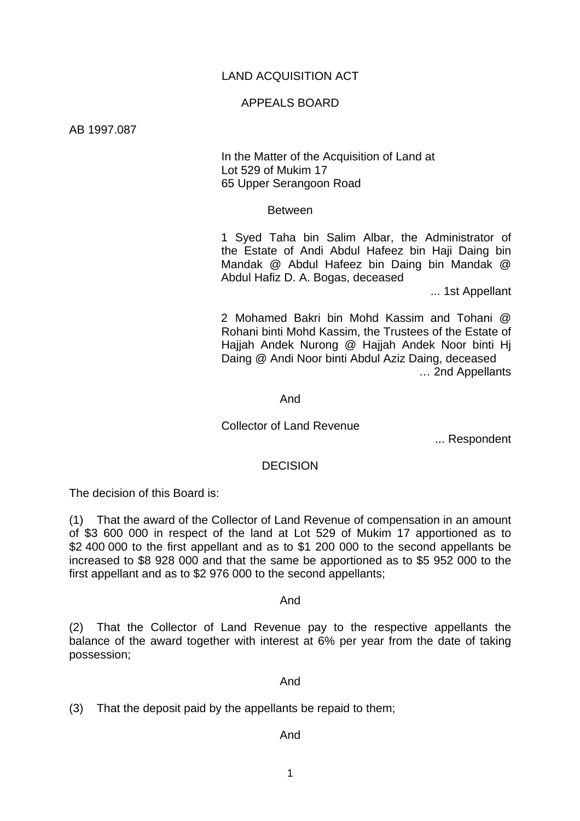## LAND ACQUISITION ACT

### APPEALS BOARD

AB 1997.087

 In the Matter of the Acquisition of Land at Lot 529 of Mukim 17 65 Upper Serangoon Road

#### Between

1 Syed Taha bin Salim Albar, the Administrator of the Estate of Andi Abdul Hafeez bin Haji Daing bin Mandak @ Abdul Hafeez bin Daing bin Mandak @ Abdul Hafiz D. A. Bogas, deceased

... 1st Appellant

2 Mohamed Bakri bin Mohd Kassim and Tohani @ Rohani binti Mohd Kassim, the Trustees of the Estate of Hajjah Andek Nurong @ Hajjah Andek Noor binti Hj Daing @ Andi Noor binti Abdul Aziz Daing, deceased … 2nd Appellants

And

## Collector of Land Revenue

... Respondent

#### **DECISION**

The decision of this Board is:

(1) That the award of the Collector of Land Revenue of compensation in an amount of \$3 600 000 in respect of the land at Lot 529 of Mukim 17 apportioned as to \$2 400 000 to the first appellant and as to \$1 200 000 to the second appellants be increased to \$8 928 000 and that the same be apportioned as to \$5 952 000 to the first appellant and as to \$2 976 000 to the second appellants;

And

(2) That the Collector of Land Revenue pay to the respective appellants the balance of the award together with interest at 6% per year from the date of taking possession;

#### And

(3) That the deposit paid by the appellants be repaid to them;

### And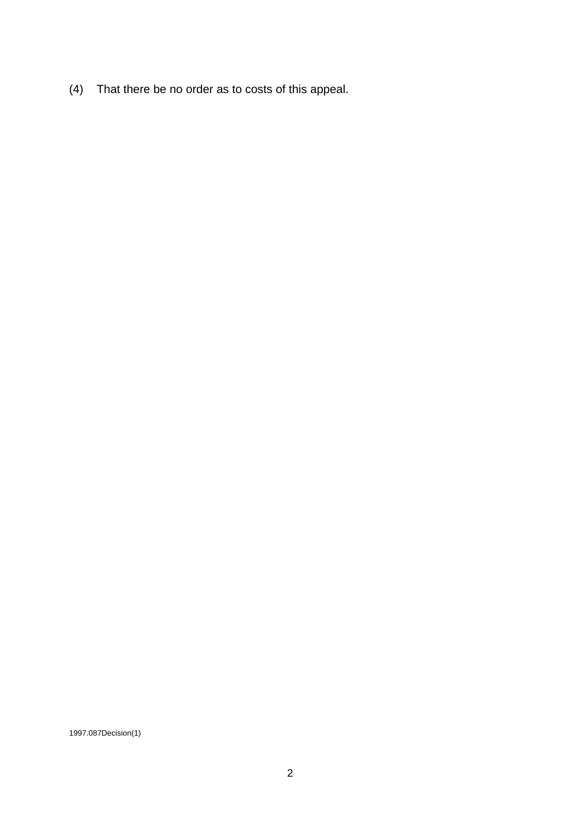(4) That there be no order as to costs of this appeal.

1997.087Decision(1)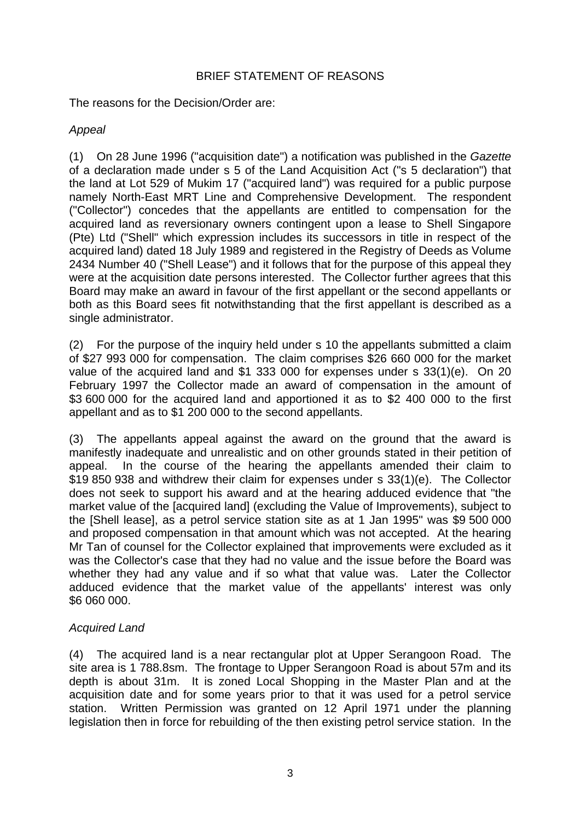# BRIEF STATEMENT OF REASONS

The reasons for the Decision/Order are:

# *Appeal*

(1) On 28 June 1996 ("acquisition date") a notification was published in the *Gazette* of a declaration made under s 5 of the Land Acquisition Act ("s 5 declaration") that the land at Lot 529 of Mukim 17 ("acquired land") was required for a public purpose namely North-East MRT Line and Comprehensive Development. The respondent ("Collector") concedes that the appellants are entitled to compensation for the acquired land as reversionary owners contingent upon a lease to Shell Singapore (Pte) Ltd ("Shell" which expression includes its successors in title in respect of the acquired land) dated 18 July 1989 and registered in the Registry of Deeds as Volume 2434 Number 40 ("Shell Lease") and it follows that for the purpose of this appeal they were at the acquisition date persons interested. The Collector further agrees that this Board may make an award in favour of the first appellant or the second appellants or both as this Board sees fit notwithstanding that the first appellant is described as a single administrator.

(2) For the purpose of the inquiry held under s 10 the appellants submitted a claim of \$27 993 000 for compensation. The claim comprises \$26 660 000 for the market value of the acquired land and \$1 333 000 for expenses under s 33(1)(e). On 20 February 1997 the Collector made an award of compensation in the amount of \$3 600 000 for the acquired land and apportioned it as to \$2 400 000 to the first appellant and as to \$1 200 000 to the second appellants.

(3) The appellants appeal against the award on the ground that the award is manifestly inadequate and unrealistic and on other grounds stated in their petition of appeal. In the course of the hearing the appellants amended their claim to \$19 850 938 and withdrew their claim for expenses under s 33(1)(e). The Collector does not seek to support his award and at the hearing adduced evidence that "the market value of the [acquired land] (excluding the Value of Improvements), subject to the [Shell lease], as a petrol service station site as at 1 Jan 1995" was \$9 500 000 and proposed compensation in that amount which was not accepted. At the hearing Mr Tan of counsel for the Collector explained that improvements were excluded as it was the Collector's case that they had no value and the issue before the Board was whether they had any value and if so what that value was. Later the Collector adduced evidence that the market value of the appellants' interest was only \$6 060 000.

# *Acquired Land*

(4) The acquired land is a near rectangular plot at Upper Serangoon Road. The site area is 1 788.8sm. The frontage to Upper Serangoon Road is about 57m and its depth is about 31m. It is zoned Local Shopping in the Master Plan and at the acquisition date and for some years prior to that it was used for a petrol service station. Written Permission was granted on 12 April 1971 under the planning legislation then in force for rebuilding of the then existing petrol service station. In the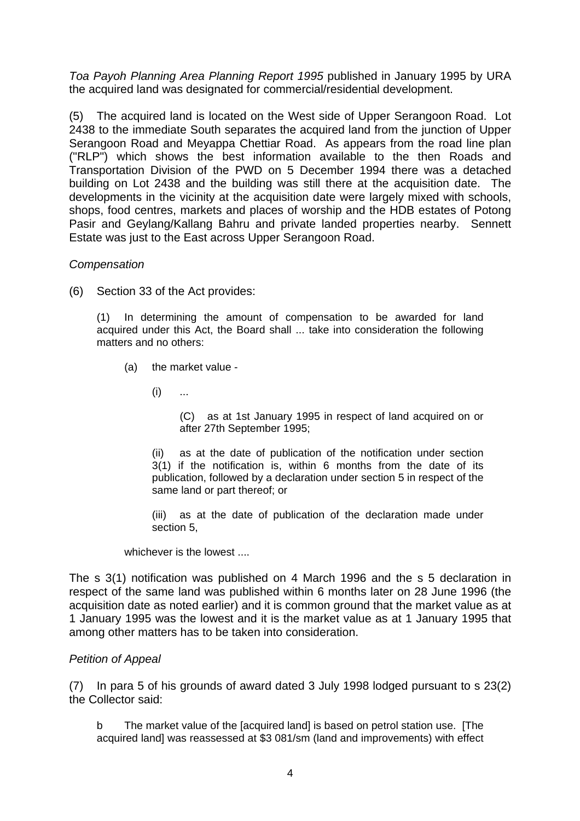*Toa Payoh Planning Area Planning Report 1995* published in January 1995 by URA the acquired land was designated for commercial/residential development.

(5) The acquired land is located on the West side of Upper Serangoon Road. Lot 2438 to the immediate South separates the acquired land from the junction of Upper Serangoon Road and Meyappa Chettiar Road. As appears from the road line plan ("RLP") which shows the best information available to the then Roads and Transportation Division of the PWD on 5 December 1994 there was a detached building on Lot 2438 and the building was still there at the acquisition date. The developments in the vicinity at the acquisition date were largely mixed with schools, shops, food centres, markets and places of worship and the HDB estates of Potong Pasir and Geylang/Kallang Bahru and private landed properties nearby. Sennett Estate was just to the East across Upper Serangoon Road.

# *Compensation*

(6) Section 33 of the Act provides:

(1) In determining the amount of compensation to be awarded for land acquired under this Act, the Board shall ... take into consideration the following matters and no others:

- (a) the market value
	- $(i)$  ...

(C) as at 1st January 1995 in respect of land acquired on or after 27th September 1995;

(ii) as at the date of publication of the notification under section 3(1) if the notification is, within 6 months from the date of its publication, followed by a declaration under section 5 in respect of the same land or part thereof; or

(iii) as at the date of publication of the declaration made under section 5,

whichever is the lowest ....

The s 3(1) notification was published on 4 March 1996 and the s 5 declaration in respect of the same land was published within 6 months later on 28 June 1996 (the acquisition date as noted earlier) and it is common ground that the market value as at 1 January 1995 was the lowest and it is the market value as at 1 January 1995 that among other matters has to be taken into consideration.

# *Petition of Appeal*

(7) In para 5 of his grounds of award dated 3 July 1998 lodged pursuant to s 23(2) the Collector said:

b The market value of the [acquired land] is based on petrol station use. [The acquired land] was reassessed at \$3 081/sm (land and improvements) with effect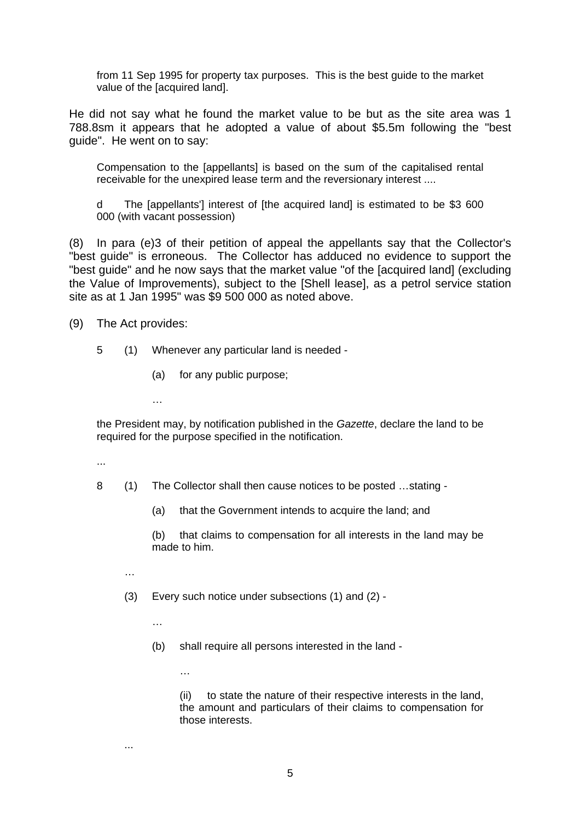from 11 Sep 1995 for property tax purposes. This is the best guide to the market value of the [acquired land].

He did not say what he found the market value to be but as the site area was 1 788.8sm it appears that he adopted a value of about \$5.5m following the "best guide". He went on to say:

Compensation to the [appellants] is based on the sum of the capitalised rental receivable for the unexpired lease term and the reversionary interest ....

d The [appellants'] interest of [the acquired land] is estimated to be \$3 600 000 (with vacant possession)

(8) In para (e)3 of their petition of appeal the appellants say that the Collector's "best guide" is erroneous. The Collector has adduced no evidence to support the "best guide" and he now says that the market value "of the [acquired land] (excluding the Value of Improvements), subject to the [Shell lease], as a petrol service station site as at 1 Jan 1995" was \$9 500 000 as noted above.

(9) The Act provides:

- 5 (1) Whenever any particular land is needed
	- (a) for any public purpose;

…

the President may, by notification published in the *Gazette*, declare the land to be required for the purpose specified in the notification.

...

- 8 (1) The Collector shall then cause notices to be posted …stating
	- (a) that the Government intends to acquire the land; and

 (b) that claims to compensation for all interests in the land may be made to him.

…

...

- (3) Every such notice under subsections (1) and (2)
	- …

…

(b) shall require all persons interested in the land -

 (ii) to state the nature of their respective interests in the land, the amount and particulars of their claims to compensation for those interests.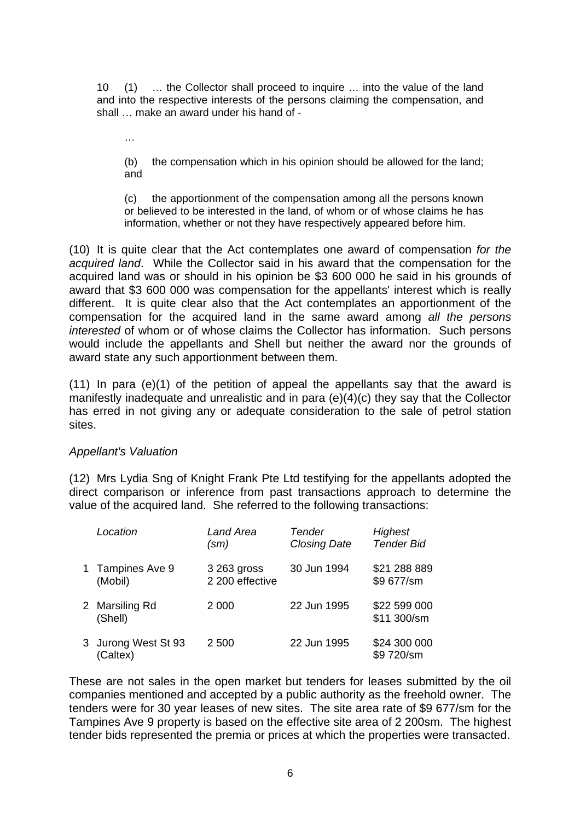10 (1) … the Collector shall proceed to inquire … into the value of the land and into the respective interests of the persons claiming the compensation, and shall … make an award under his hand of -

…

 (b) the compensation which in his opinion should be allowed for the land; and

 (c) the apportionment of the compensation among all the persons known or believed to be interested in the land, of whom or of whose claims he has information, whether or not they have respectively appeared before him.

(10) It is quite clear that the Act contemplates one award of compensation *for the acquired land*. While the Collector said in his award that the compensation for the acquired land was or should in his opinion be \$3 600 000 he said in his grounds of award that \$3 600 000 was compensation for the appellants' interest which is really different. It is quite clear also that the Act contemplates an apportionment of the compensation for the acquired land in the same award among *all the persons interested* of whom or of whose claims the Collector has information. Such persons would include the appellants and Shell but neither the award nor the grounds of award state any such apportionment between them.

 $(11)$  In para  $(e)(1)$  of the petition of appeal the appellants say that the award is manifestly inadequate and unrealistic and in para (e)(4)(c) they say that the Collector has erred in not giving any or adequate consideration to the sale of petrol station sites.

# *Appellant's Valuation*

(12) Mrs Lydia Sng of Knight Frank Pte Ltd testifying for the appellants adopted the direct comparison or inference from past transactions approach to determine the value of the acquired land. She referred to the following transactions:

| Location                        | Land Area<br>$(\mathsf{sm})$   | <b>Tender</b><br><b>Closing Date</b> | <b>Highest</b><br><b>Tender Bid</b> |
|---------------------------------|--------------------------------|--------------------------------------|-------------------------------------|
| 1 Tampines Ave 9<br>(Mobil)     | 3 263 gross<br>2 200 effective | 30 Jun 1994                          | \$21 288 889<br>\$9 677/sm          |
| 2 Marsiling Rd<br>(Shell)       | 2 0 0 0                        | 22 Jun 1995                          | \$22 599 000<br>\$11 300/sm         |
| 3 Jurong West St 93<br>(Caltex) | 2 500                          | 22 Jun 1995                          | \$24 300 000<br>\$9 720/sm          |

These are not sales in the open market but tenders for leases submitted by the oil companies mentioned and accepted by a public authority as the freehold owner. The tenders were for 30 year leases of new sites. The site area rate of \$9 677/sm for the Tampines Ave 9 property is based on the effective site area of 2 200sm. The highest tender bids represented the premia or prices at which the properties were transacted.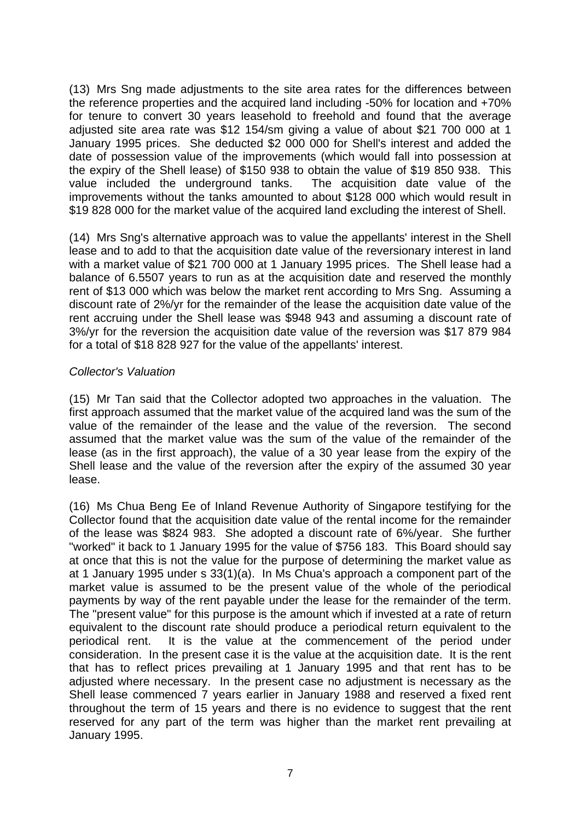(13) Mrs Sng made adjustments to the site area rates for the differences between the reference properties and the acquired land including -50% for location and +70% for tenure to convert 30 years leasehold to freehold and found that the average adjusted site area rate was \$12 154/sm giving a value of about \$21 700 000 at 1 January 1995 prices. She deducted \$2 000 000 for Shell's interest and added the date of possession value of the improvements (which would fall into possession at the expiry of the Shell lease) of \$150 938 to obtain the value of \$19 850 938. This value included the underground tanks. The acquisition date value of the improvements without the tanks amounted to about \$128 000 which would result in \$19 828 000 for the market value of the acquired land excluding the interest of Shell.

(14) Mrs Sng's alternative approach was to value the appellants' interest in the Shell lease and to add to that the acquisition date value of the reversionary interest in land with a market value of \$21 700 000 at 1 January 1995 prices. The Shell lease had a balance of 6.5507 years to run as at the acquisition date and reserved the monthly rent of \$13 000 which was below the market rent according to Mrs Sng. Assuming a discount rate of 2%/yr for the remainder of the lease the acquisition date value of the rent accruing under the Shell lease was \$948 943 and assuming a discount rate of 3%/yr for the reversion the acquisition date value of the reversion was \$17 879 984 for a total of \$18 828 927 for the value of the appellants' interest.

# *Collector's Valuation*

(15) Mr Tan said that the Collector adopted two approaches in the valuation. The first approach assumed that the market value of the acquired land was the sum of the value of the remainder of the lease and the value of the reversion. The second assumed that the market value was the sum of the value of the remainder of the lease (as in the first approach), the value of a 30 year lease from the expiry of the Shell lease and the value of the reversion after the expiry of the assumed 30 year lease.

(16) Ms Chua Beng Ee of Inland Revenue Authority of Singapore testifying for the Collector found that the acquisition date value of the rental income for the remainder of the lease was \$824 983. She adopted a discount rate of 6%/year. She further "worked" it back to 1 January 1995 for the value of \$756 183. This Board should say at once that this is not the value for the purpose of determining the market value as at 1 January 1995 under s 33(1)(a). In Ms Chua's approach a component part of the market value is assumed to be the present value of the whole of the periodical payments by way of the rent payable under the lease for the remainder of the term. The "present value" for this purpose is the amount which if invested at a rate of return equivalent to the discount rate should produce a periodical return equivalent to the periodical rent. It is the value at the commencement of the period under consideration. In the present case it is the value at the acquisition date. It is the rent that has to reflect prices prevailing at 1 January 1995 and that rent has to be adjusted where necessary. In the present case no adjustment is necessary as the Shell lease commenced 7 years earlier in January 1988 and reserved a fixed rent throughout the term of 15 years and there is no evidence to suggest that the rent reserved for any part of the term was higher than the market rent prevailing at January 1995.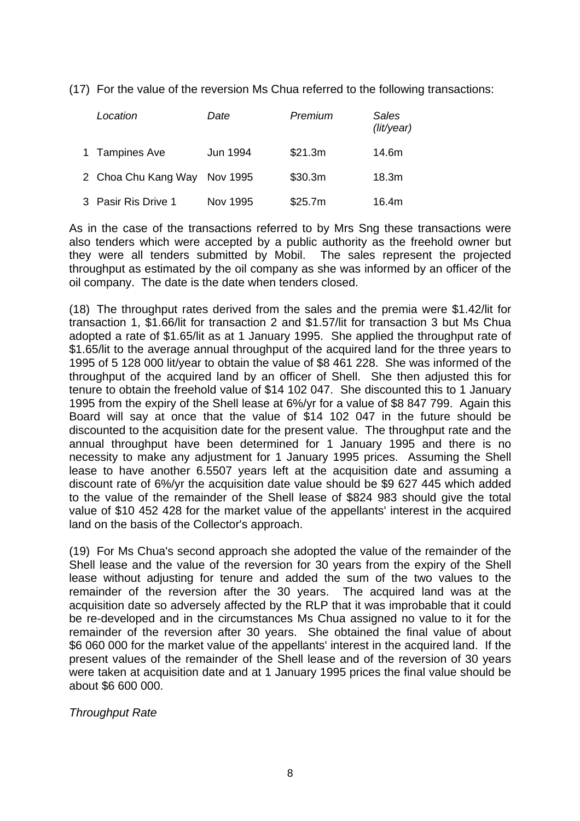(17) For the value of the reversion Ms Chua referred to the following transactions:

| Location                     | Date     | Premium | <b>Sales</b><br>(lit/year) |
|------------------------------|----------|---------|----------------------------|
| 1 Tampines Ave               | Jun 1994 | \$21.3m | 14.6m                      |
| 2 Choa Chu Kang Way Nov 1995 |          | \$30.3m | 18.3m                      |
| 3 Pasir Ris Drive 1          | Nov 1995 | \$25.7m | 16.4m                      |

As in the case of the transactions referred to by Mrs Sng these transactions were also tenders which were accepted by a public authority as the freehold owner but they were all tenders submitted by Mobil. The sales represent the projected throughput as estimated by the oil company as she was informed by an officer of the oil company. The date is the date when tenders closed.

(18) The throughput rates derived from the sales and the premia were \$1.42/lit for transaction 1, \$1.66/lit for transaction 2 and \$1.57/lit for transaction 3 but Ms Chua adopted a rate of \$1.65/lit as at 1 January 1995. She applied the throughput rate of \$1.65/lit to the average annual throughput of the acquired land for the three years to 1995 of 5 128 000 lit/year to obtain the value of \$8 461 228. She was informed of the throughput of the acquired land by an officer of Shell. She then adjusted this for tenure to obtain the freehold value of \$14 102 047. She discounted this to 1 January 1995 from the expiry of the Shell lease at 6%/yr for a value of \$8 847 799. Again this Board will say at once that the value of \$14 102 047 in the future should be discounted to the acquisition date for the present value. The throughput rate and the annual throughput have been determined for 1 January 1995 and there is no necessity to make any adjustment for 1 January 1995 prices. Assuming the Shell lease to have another 6.5507 years left at the acquisition date and assuming a discount rate of 6%/yr the acquisition date value should be \$9 627 445 which added to the value of the remainder of the Shell lease of \$824 983 should give the total value of \$10 452 428 for the market value of the appellants' interest in the acquired land on the basis of the Collector's approach.

(19) For Ms Chua's second approach she adopted the value of the remainder of the Shell lease and the value of the reversion for 30 years from the expiry of the Shell lease without adjusting for tenure and added the sum of the two values to the remainder of the reversion after the 30 years. The acquired land was at the acquisition date so adversely affected by the RLP that it was improbable that it could be re-developed and in the circumstances Ms Chua assigned no value to it for the remainder of the reversion after 30 years. She obtained the final value of about \$6 060 000 for the market value of the appellants' interest in the acquired land. If the present values of the remainder of the Shell lease and of the reversion of 30 years were taken at acquisition date and at 1 January 1995 prices the final value should be about \$6 600 000.

*Throughput Rate*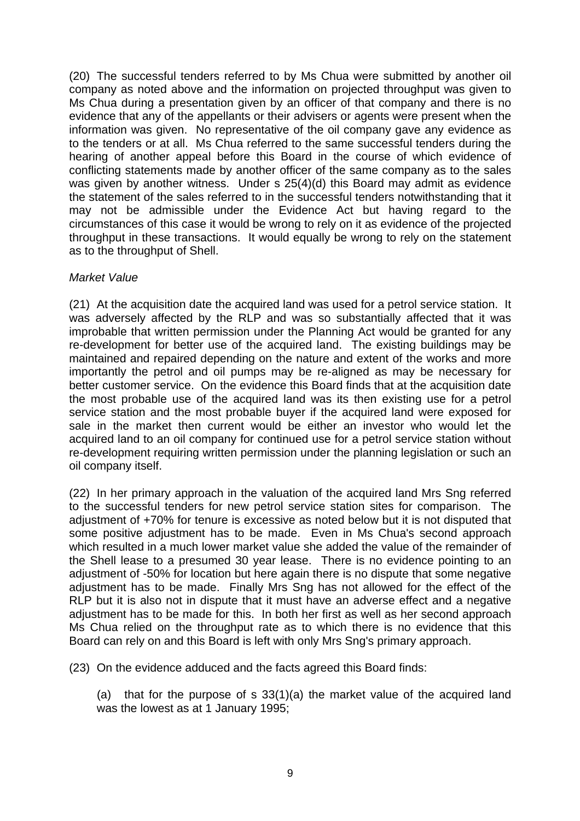(20) The successful tenders referred to by Ms Chua were submitted by another oil company as noted above and the information on projected throughput was given to Ms Chua during a presentation given by an officer of that company and there is no evidence that any of the appellants or their advisers or agents were present when the information was given. No representative of the oil company gave any evidence as to the tenders or at all. Ms Chua referred to the same successful tenders during the hearing of another appeal before this Board in the course of which evidence of conflicting statements made by another officer of the same company as to the sales was given by another witness. Under s 25(4)(d) this Board may admit as evidence the statement of the sales referred to in the successful tenders notwithstanding that it may not be admissible under the Evidence Act but having regard to the circumstances of this case it would be wrong to rely on it as evidence of the projected throughput in these transactions. It would equally be wrong to rely on the statement as to the throughput of Shell.

# *Market Value*

(21) At the acquisition date the acquired land was used for a petrol service station. It was adversely affected by the RLP and was so substantially affected that it was improbable that written permission under the Planning Act would be granted for any re-development for better use of the acquired land. The existing buildings may be maintained and repaired depending on the nature and extent of the works and more importantly the petrol and oil pumps may be re-aligned as may be necessary for better customer service. On the evidence this Board finds that at the acquisition date the most probable use of the acquired land was its then existing use for a petrol service station and the most probable buyer if the acquired land were exposed for sale in the market then current would be either an investor who would let the acquired land to an oil company for continued use for a petrol service station without re-development requiring written permission under the planning legislation or such an oil company itself.

(22) In her primary approach in the valuation of the acquired land Mrs Sng referred to the successful tenders for new petrol service station sites for comparison. The adjustment of +70% for tenure is excessive as noted below but it is not disputed that some positive adjustment has to be made. Even in Ms Chua's second approach which resulted in a much lower market value she added the value of the remainder of the Shell lease to a presumed 30 year lease. There is no evidence pointing to an adjustment of -50% for location but here again there is no dispute that some negative adjustment has to be made. Finally Mrs Sng has not allowed for the effect of the RLP but it is also not in dispute that it must have an adverse effect and a negative adjustment has to be made for this. In both her first as well as her second approach Ms Chua relied on the throughput rate as to which there is no evidence that this Board can rely on and this Board is left with only Mrs Sng's primary approach.

(23) On the evidence adduced and the facts agreed this Board finds:

(a) that for the purpose of s 33(1)(a) the market value of the acquired land was the lowest as at 1 January 1995;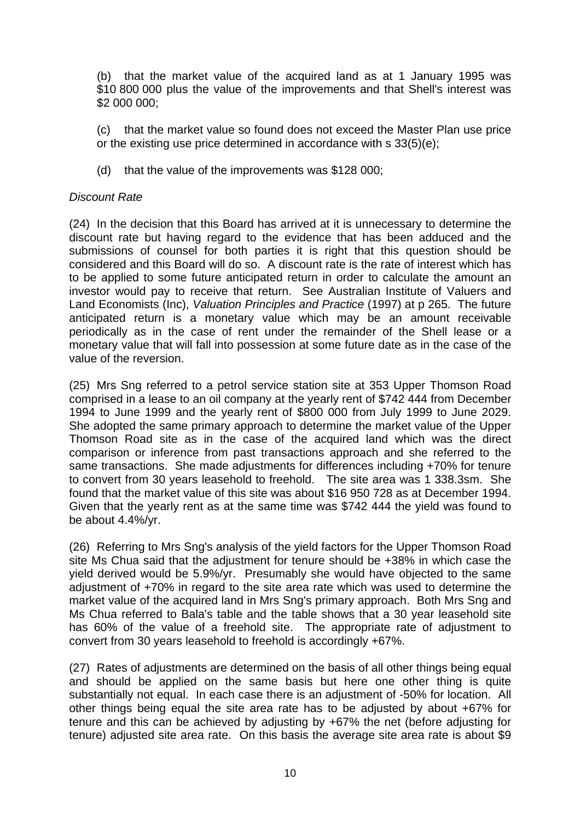(b) that the market value of the acquired land as at 1 January 1995 was \$10 800 000 plus the value of the improvements and that Shell's interest was \$2 000 000;

(c) that the market value so found does not exceed the Master Plan use price or the existing use price determined in accordance with s 33(5)(e);

(d) that the value of the improvements was \$128 000;

## *Discount Rate*

(24) In the decision that this Board has arrived at it is unnecessary to determine the discount rate but having regard to the evidence that has been adduced and the submissions of counsel for both parties it is right that this question should be considered and this Board will do so. A discount rate is the rate of interest which has to be applied to some future anticipated return in order to calculate the amount an investor would pay to receive that return. See Australian Institute of Valuers and Land Economists (Inc), *Valuation Principles and Practice* (1997) at p 265. The future anticipated return is a monetary value which may be an amount receivable periodically as in the case of rent under the remainder of the Shell lease or a monetary value that will fall into possession at some future date as in the case of the value of the reversion.

(25) Mrs Sng referred to a petrol service station site at 353 Upper Thomson Road comprised in a lease to an oil company at the yearly rent of \$742 444 from December 1994 to June 1999 and the yearly rent of \$800 000 from July 1999 to June 2029. She adopted the same primary approach to determine the market value of the Upper Thomson Road site as in the case of the acquired land which was the direct comparison or inference from past transactions approach and she referred to the same transactions. She made adjustments for differences including +70% for tenure to convert from 30 years leasehold to freehold. The site area was 1 338.3sm. She found that the market value of this site was about \$16 950 728 as at December 1994. Given that the yearly rent as at the same time was \$742 444 the yield was found to be about 4.4%/yr.

(26) Referring to Mrs Sng's analysis of the yield factors for the Upper Thomson Road site Ms Chua said that the adiustment for tenure should be +38% in which case the yield derived would be 5.9%/yr. Presumably she would have objected to the same adjustment of +70% in regard to the site area rate which was used to determine the market value of the acquired land in Mrs Sng's primary approach. Both Mrs Sng and Ms Chua referred to Bala's table and the table shows that a 30 year leasehold site has 60% of the value of a freehold site. The appropriate rate of adjustment to convert from 30 years leasehold to freehold is accordingly +67%.

(27) Rates of adjustments are determined on the basis of all other things being equal and should be applied on the same basis but here one other thing is quite substantially not equal. In each case there is an adjustment of -50% for location. All other things being equal the site area rate has to be adjusted by about +67% for tenure and this can be achieved by adjusting by +67% the net (before adjusting for tenure) adjusted site area rate. On this basis the average site area rate is about \$9